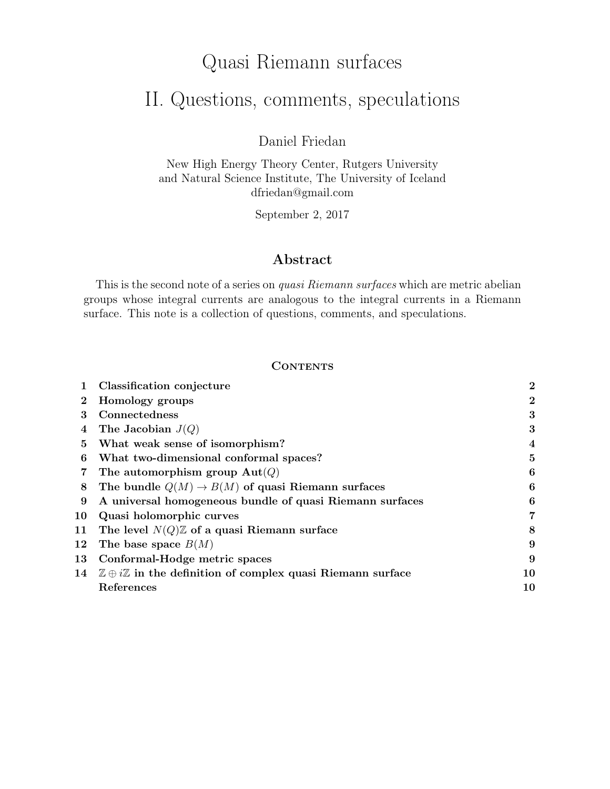# Quasi Riemann surfaces

# II. Questions, comments, speculations

Daniel Friedan

New High Energy Theory Center, Rutgers University and Natural Science Institute, The University of Iceland dfriedan@gmail.com

September 2, 2017

# Abstract

This is the second note of a series on *quasi Riemann surfaces* which are metric abelian groups whose integral currents are analogous to the integral currents in a Riemann surface. This note is a collection of questions, comments, and speculations.

# **CONTENTS**

|          | Classification conjecture                                                          | $\overline{2}$          |
|----------|------------------------------------------------------------------------------------|-------------------------|
| $\bf{2}$ | Homology groups                                                                    | $\bf{2}$                |
| 3        | Connectedness                                                                      | 3                       |
| 4        | The Jacobian $J(Q)$                                                                | 3                       |
| 5.       | What weak sense of isomorphism?                                                    | $\overline{\mathbf{4}}$ |
| 6        | What two-dimensional conformal spaces?                                             | 5                       |
|          | The automorphism group $\text{Aut}(Q)$                                             | 6                       |
| 8        | The bundle $Q(M) \rightarrow B(M)$ of quasi Riemann surfaces                       | 6                       |
| 9        | A universal homogeneous bundle of quasi Riemann surfaces                           | 6                       |
| 10       | Quasi holomorphic curves                                                           | 7                       |
| 11       | The level $N(Q)\mathbb{Z}$ of a quasi Riemann surface                              | 8                       |
| $12\,$   | The base space $B(M)$                                                              | 9                       |
| 13       | Conformal-Hodge metric spaces                                                      | 9                       |
| 14       | $\mathbb{Z} \oplus i\mathbb{Z}$ in the definition of complex quasi Riemann surface | 10                      |
|          | References                                                                         | 10                      |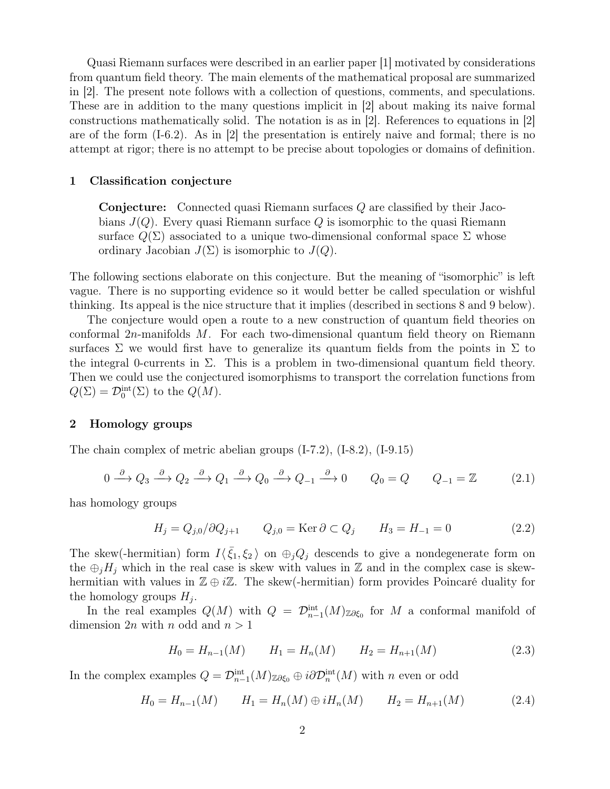Quasi Riemann surfaces were described in an earlier paper [1] motivated by considerations from quantum field theory. The main elements of the mathematical proposal are summarized in [2]. The present note follows with a collection of questions, comments, and speculations. These are in addition to the many questions implicit in [2] about making its naive formal constructions mathematically solid. The notation is as in [2]. References to equations in [2] are of the form  $(I-6.2)$ . As in |2| the presentation is entirely naive and formal; there is no attempt at rigor; there is no attempt to be precise about topologies or domains of definition.

# 1 Classification conjecture

Conjecture: Connected quasi Riemann surfaces Q are classified by their Jacobians  $J(Q)$ . Every quasi Riemann surface Q is isomorphic to the quasi Riemann surface  $Q(\Sigma)$  associated to a unique two-dimensional conformal space  $\Sigma$  whose ordinary Jacobian  $J(\Sigma)$  is isomorphic to  $J(Q)$ .

The following sections elaborate on this conjecture. But the meaning of "isomorphic" is left vague. There is no supporting evidence so it would better be called speculation or wishful thinking. Its appeal is the nice structure that it implies (described in sections 8 and 9 below).

The conjecture would open a route to a new construction of quantum field theories on conformal  $2n$ -manifolds M. For each two-dimensional quantum field theory on Riemann surfaces  $\Sigma$  we would first have to generalize its quantum fields from the points in  $\Sigma$  to the integral 0-currents in  $\Sigma$ . This is a problem in two-dimensional quantum field theory. Then we could use the conjectured isomorphisms to transport the correlation functions from  $Q(\Sigma) = \mathcal{D}_0^{\text{int}}(\Sigma)$  to the  $Q(M)$ .

# 2 Homology groups

The chain complex of metric abelian groups (I-7.2), (I-8.2), (I-9.15)

$$
0 \xrightarrow{\partial} Q_3 \xrightarrow{\partial} Q_2 \xrightarrow{\partial} Q_1 \xrightarrow{\partial} Q_0 \xrightarrow{\partial} Q_{-1} \xrightarrow{\partial} 0 \qquad Q_0 = Q \qquad Q_{-1} = \mathbb{Z} \tag{2.1}
$$

has homology groups

$$
H_j = Q_{j,0}/\partial Q_{j+1} \qquad Q_{j,0} = \text{Ker}\,\partial \subset Q_j \qquad H_3 = H_{-1} = 0 \tag{2.2}
$$

The skew(-hermitian) form  $I(\bar{\xi}_1, \xi_2)$  on  $\oplus_j Q_j$  descends to give a nondegenerate form on the  $\oplus_i H_i$  which in the real case is skew with values in Z and in the complex case is skewhermitian with values in  $\mathbb{Z} \oplus i\mathbb{Z}$ . The skew(-hermitian) form provides Poincaré duality for the homology groups  $H_j$ .

In the real examples  $Q(M)$  with  $Q = \mathcal{D}_{n-1}^{\text{int}}(M)_{\mathbb{Z}\partial \xi_0}$  for M a conformal manifold of dimension 2n with n odd and  $n > 1$ 

$$
H_0 = H_{n-1}(M) \qquad H_1 = H_n(M) \qquad H_2 = H_{n+1}(M) \tag{2.3}
$$

In the complex examples  $Q = \mathcal{D}_{n-1}^{\text{int}}(M)_{\mathbb{Z}\partial \xi_0} \oplus i \partial \mathcal{D}_n^{\text{int}}(M)$  with n even or odd

$$
H_0 = H_{n-1}(M) \qquad H_1 = H_n(M) \oplus iH_n(M) \qquad H_2 = H_{n+1}(M) \tag{2.4}
$$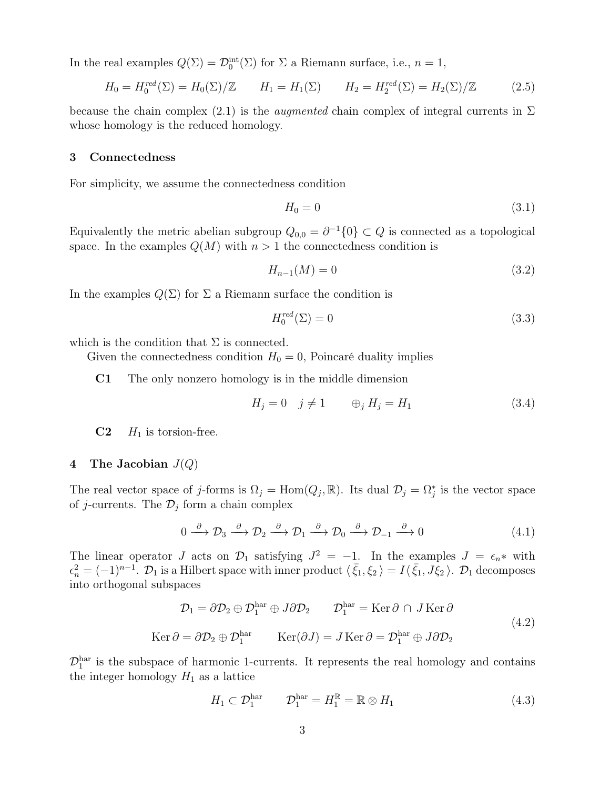In the real examples  $Q(\Sigma) = \mathcal{D}_0^{\text{int}}(\Sigma)$  for  $\Sigma$  a Riemann surface, i.e.,  $n = 1$ ,

$$
H_0 = H_0^{red}(\Sigma) = H_0(\Sigma)/\mathbb{Z} \qquad H_1 = H_1(\Sigma) \qquad H_2 = H_2^{red}(\Sigma) = H_2(\Sigma)/\mathbb{Z} \tag{2.5}
$$

because the chain complex (2.1) is the *augmented* chain complex of integral currents in  $\Sigma$ whose homology is the reduced homology.

#### 3 Connectedness

For simplicity, we assume the connectedness condition

$$
H_0 = 0 \tag{3.1}
$$

Equivalently the metric abelian subgroup  $Q_{0,0} = \partial^{-1}{0} \subset Q$  is connected as a topological space. In the examples  $Q(M)$  with  $n > 1$  the connectedness condition is

$$
H_{n-1}(M) = 0 \t\t(3.2)
$$

In the examples  $Q(\Sigma)$  for  $\Sigma$  a Riemann surface the condition is

$$
H_0^{red}(\Sigma) = 0 \tag{3.3}
$$

which is the condition that  $\Sigma$  is connected.

 $\overline{(\ }$ 

Given the connectedness condition  $H_0 = 0$ , Poincaré duality implies

C1 The only nonzero homology is in the middle dimension

$$
H_j = 0 \quad j \neq 1 \qquad \oplus_j H_j = H_1 \tag{3.4}
$$

 $C2$   $H_1$  is torsion-free.

# 4 The Jacobian  $J(Q)$

The real vector space of j-forms is  $\Omega_j = \text{Hom}(Q_j, \mathbb{R})$ . Its dual  $\mathcal{D}_j = \Omega_j^*$  is the vector space of *j*-currents. The  $\mathcal{D}_j$  form a chain complex

$$
0 \xrightarrow{\partial} \mathcal{D}_3 \xrightarrow{\partial} \mathcal{D}_2 \xrightarrow{\partial} \mathcal{D}_1 \xrightarrow{\partial} \mathcal{D}_0 \xrightarrow{\partial} \mathcal{D}_{-1} \xrightarrow{\partial} 0 \tag{4.1}
$$

The linear operator J acts on  $\mathcal{D}_1$  satisfying  $J^2 = -1$ . In the examples  $J = \epsilon_n *$  with  $\epsilon_n^2 = (-1)^{n-1}$ .  $\mathcal{D}_1$  is a Hilbert space with inner product  $\langle \bar{\xi}_1, \xi_2 \rangle = I \langle \bar{\xi}_1, J \bar{\xi}_2 \rangle$ .  $\mathcal{D}_1$  decomposes into orthogonal subspaces

$$
\mathcal{D}_1 = \partial \mathcal{D}_2 \oplus \mathcal{D}_1^{\text{har}} \oplus J \partial \mathcal{D}_2 \qquad \mathcal{D}_1^{\text{har}} = \text{Ker } \partial \cap J \text{ Ker } \partial
$$
  
 
$$
\text{Ker } \partial = \partial \mathcal{D}_2 \oplus \mathcal{D}_1^{\text{har}} \qquad \text{Ker}(\partial J) = J \text{Ker } \partial = \mathcal{D}_1^{\text{har}} \oplus J \partial \mathcal{D}_2 \qquad (4.2)
$$

 $\mathcal{D}_1^{\text{har}}$  is the subspace of harmonic 1-currents. It represents the real homology and contains the integer homology  $H_1$  as a lattice

$$
H_1 \subset \mathcal{D}_1^{\text{har}} \qquad \mathcal{D}_1^{\text{har}} = H_1^{\mathbb{R}} = \mathbb{R} \otimes H_1 \tag{4.3}
$$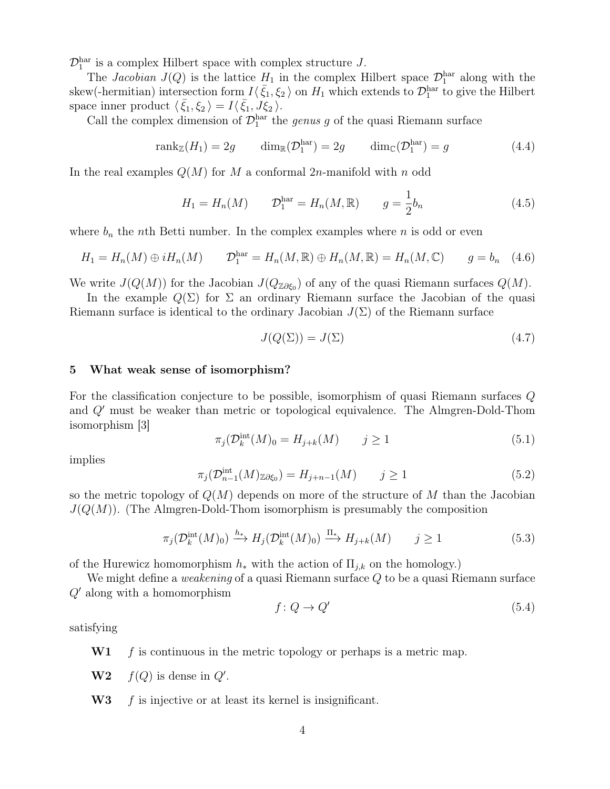$\mathcal{D}_1^{\text{har}}$  is a complex Hilbert space with complex structure J.

The *Jacobian*  $J(Q)$  is the lattice  $H_1$  in the complex Hilbert space  $\mathcal{D}_1^{\text{har}}$  along with the skew(-hermitian) intersection form  $I(\bar{\xi}_1,\xi_2)$  on  $H_1$  which extends to  $\mathcal{D}_1^{\text{har}}$  to give the Hilbert space inner product  $\langle \bar{\xi}_1, \xi_2 \rangle = I \langle \bar{\xi}_1, J \xi_2 \rangle$ .

Call the complex dimension of  $\mathcal{D}_1^{\text{har}}$  the *genus g* of the quasi Riemann surface

$$
rank_{\mathbb{Z}}(H_1) = 2g \qquad \dim_{\mathbb{R}}(\mathcal{D}_1^{\text{har}}) = 2g \qquad \dim_{\mathbb{C}}(\mathcal{D}_1^{\text{har}}) = g \qquad (4.4)
$$

In the real examples  $Q(M)$  for M a conformal 2n-manifold with n odd

$$
H_1 = H_n(M) \t D_1^{\text{har}} = H_n(M, \mathbb{R}) \t g = \frac{1}{2} b_n \t (4.5)
$$

where  $b_n$  the nth Betti number. In the complex examples where n is odd or even

$$
H_1 = H_n(M) \oplus iH_n(M) \qquad \mathcal{D}_1^{\text{har}} = H_n(M, \mathbb{R}) \oplus H_n(M, \mathbb{R}) = H_n(M, \mathbb{C}) \qquad g = b_n \quad (4.6)
$$

We write  $J(Q(M))$  for the Jacobian  $J(Q_{\mathbb{Z}\partial\xi_0})$  of any of the quasi Riemann surfaces  $Q(M)$ .

In the example  $Q(\Sigma)$  for  $\Sigma$  an ordinary Riemann surface the Jacobian of the quasi Riemann surface is identical to the ordinary Jacobian  $J(\Sigma)$  of the Riemann surface

$$
J(Q(\Sigma)) = J(\Sigma) \tag{4.7}
$$

# 5 What weak sense of isomorphism?

For the classification conjecture to be possible, isomorphism of quasi Riemann surfaces Q and  $Q'$  must be weaker than metric or topological equivalence. The Almgren-Dold-Thom isomorphism [3]

$$
\pi_j(\mathcal{D}_k^{\text{int}}(M)_0 = H_{j+k}(M) \qquad j \ge 1 \tag{5.1}
$$

implies

$$
\pi_j(\mathcal{D}_{n-1}^{\text{int}}(M)_{\mathbb{Z}\partial\xi_0}) = H_{j+n-1}(M) \qquad j \ge 1
$$
\n(5.2)

so the metric topology of  $Q(M)$  depends on more of the structure of M than the Jacobian  $J(Q(M))$ . (The Almgren-Dold-Thom isomorphism is presumably the composition

$$
\pi_j(\mathcal{D}_k^{\text{int}}(M)_0) \xrightarrow{h_*} H_j(\mathcal{D}_k^{\text{int}}(M)_0) \xrightarrow{\Pi_*} H_{j+k}(M) \qquad j \ge 1
$$
\n
$$
(5.3)
$$

of the Hurewicz homomorphism  $h_*$  with the action of  $\Pi_{i,k}$  on the homology.)

We might define a *weakening* of a quasi Riemann surface Q to be a quasi Riemann surface  $Q'$  along with a homomorphism

$$
f: Q \to Q' \tag{5.4}
$$

satisfying

- $W1$  f is continuous in the metric topology or perhaps is a metric map.
- $W2$  f(Q) is dense in Q'.
- $W3$  f is injective or at least its kernel is insignificant.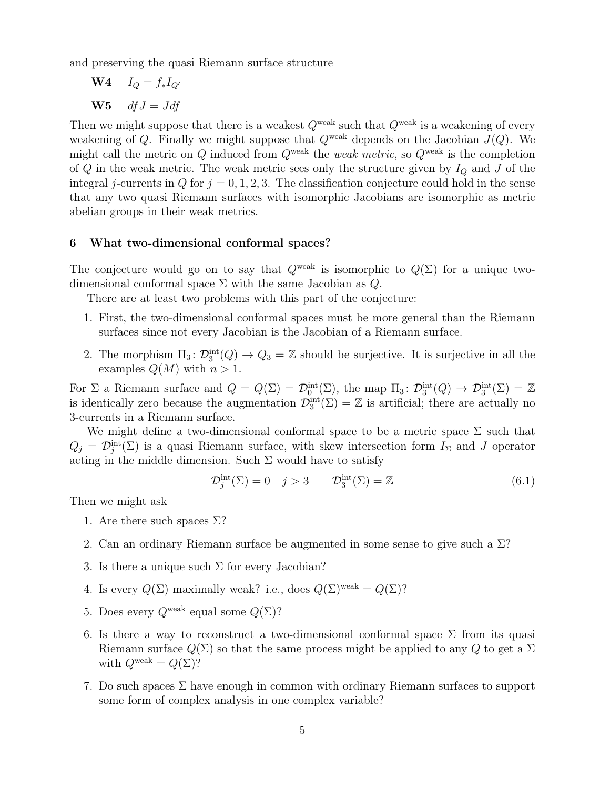and preserving the quasi Riemann surface structure

 $W4$   $I_Q = f_*I_{Q'}$ W5  $dfJ = Jdf$ 

Then we might suppose that there is a weakest  $Q^{\text{weak}}$  such that  $Q^{\text{weak}}$  is a weakening of every weakening of Q. Finally we might suppose that  $Q^{\text{weak}}$  depends on the Jacobian  $J(Q)$ . We might call the metric on Q induced from  $Q^{\text{weak}}$  the weak metric, so  $Q^{\text{weak}}$  is the completion of  $Q$  in the weak metric. The weak metric sees only the structure given by  $I_Q$  and  $J$  of the integral j-currents in Q for  $j = 0, 1, 2, 3$ . The classification conjecture could hold in the sense that any two quasi Riemann surfaces with isomorphic Jacobians are isomorphic as metric abelian groups in their weak metrics.

# 6 What two-dimensional conformal spaces?

The conjecture would go on to say that  $Q^{\text{weak}}$  is isomorphic to  $Q(\Sigma)$  for a unique twodimensional conformal space  $\Sigma$  with the same Jacobian as  $Q$ .

There are at least two problems with this part of the conjecture:

- 1. First, the two-dimensional conformal spaces must be more general than the Riemann surfaces since not every Jacobian is the Jacobian of a Riemann surface.
- 2. The morphism  $\Pi_3 \colon \mathcal{D}_3^{\text{int}}(Q) \to Q_3 = \mathbb{Z}$  should be surjective. It is surjective in all the examples  $Q(M)$  with  $n > 1$ .

For  $\Sigma$  a Riemann surface and  $Q = Q(\Sigma) = \mathcal{D}_0^{\text{int}}(\Sigma)$ , the map  $\Pi_3 \colon \mathcal{D}_3^{\text{int}}(Q) \to \mathcal{D}_3^{\text{int}}(\Sigma) = \mathbb{Z}$ is identically zero because the augmentation  $\mathcal{D}_3^{\text{int}}(\Sigma) = \mathbb{Z}$  is artificial; there are actually no 3-currents in a Riemann surface.

We might define a two-dimensional conformal space to be a metric space  $\Sigma$  such that  $Q_j = \mathcal{D}_j^{\text{int}}(\Sigma)$  is a quasi Riemann surface, with skew intersection form  $I_{\Sigma}$  and J operator acting in the middle dimension. Such  $\Sigma$  would have to satisfy

$$
\mathcal{D}_j^{\text{int}}(\Sigma) = 0 \quad j > 3 \qquad \mathcal{D}_3^{\text{int}}(\Sigma) = \mathbb{Z} \tag{6.1}
$$

Then we might ask

- 1. Are there such spaces  $\Sigma$ ?
- 2. Can an ordinary Riemann surface be augmented in some sense to give such a Σ?
- 3. Is there a unique such  $\Sigma$  for every Jacobian?
- 4. Is every  $Q(\Sigma)$  maximally weak? i.e., does  $Q(\Sigma)$ <sup>weak</sup> =  $Q(\Sigma)$ ?
- 5. Does every  $Q^{\text{weak}}$  equal some  $Q(\Sigma)$ ?
- 6. Is there a way to reconstruct a two-dimensional conformal space  $\Sigma$  from its quasi Riemann surface  $Q(\Sigma)$  so that the same process might be applied to any Q to get a  $\Sigma$ with  $Q^{\text{weak}} = Q(\Sigma)$ ?
- 7. Do such spaces  $\Sigma$  have enough in common with ordinary Riemann surfaces to support some form of complex analysis in one complex variable?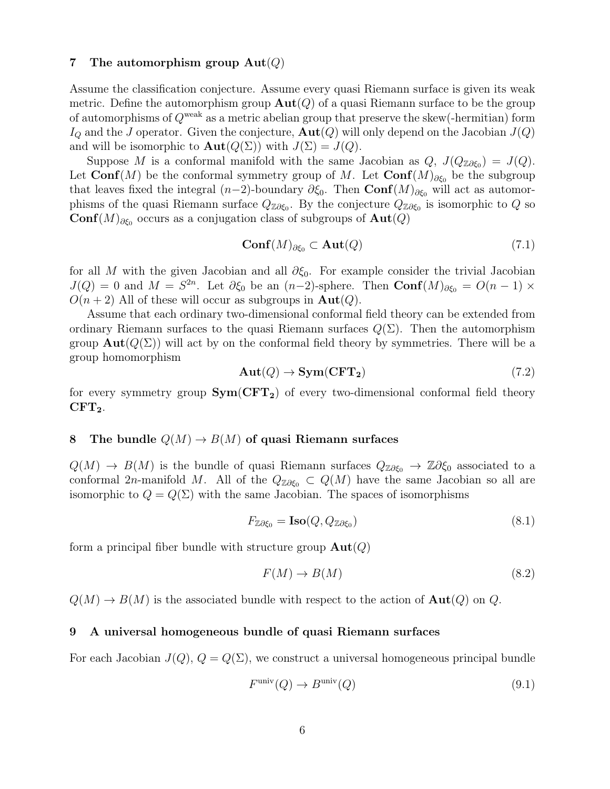# 7 The automorphism group  $\text{Aut}(Q)$

Assume the classification conjecture. Assume every quasi Riemann surface is given its weak metric. Define the automorphism group  $\text{Aut}(Q)$  of a quasi Riemann surface to be the group of automorphisms of  $Q^{\text{weak}}$  as a metric abelian group that preserve the skew(-hermitian) form  $I_Q$  and the J operator. Given the conjecture,  $\text{Aut}(Q)$  will only depend on the Jacobian  $J(Q)$ and will be isomorphic to  $\text{Aut}(Q(\Sigma))$  with  $J(\Sigma) = J(Q)$ .

Suppose M is a conformal manifold with the same Jacobian as  $Q, J(Q_{\mathbb{Z}\partial\xi_0}) = J(Q).$ Let Conf(M) be the conformal symmetry group of M. Let  $\text{Conf}(M)_{\partial \xi_0}$  be the subgroup that leaves fixed the integral  $(n-2)$ -boundary  $\partial \xi_0$ . Then  $\text{Conf}(M)_{\partial \xi_0}$  will act as automorphisms of the quasi Riemann surface  $Q_{\mathbb{Z}\partial\xi_0}$ . By the conjecture  $Q_{\mathbb{Z}\partial\xi_0}$  is isomorphic to  $Q$  so Conf $(M)_{\partial \xi_0}$  occurs as a conjugation class of subgroups of  $\text{Aut}(Q)$ 

$$
\mathbf{Conf}(M)_{\partial \xi_0} \subset \mathbf{Aut}(Q) \tag{7.1}
$$

for all M with the given Jacobian and all  $\partial \xi_0$ . For example consider the trivial Jacobian  $J(Q) = 0$  and  $M = S^{2n}$ . Let  $\partial \xi_0$  be an  $(n-2)$ -sphere. Then  $\text{Conf}(M)_{\partial \xi_0} = O(n-1) \times$  $O(n+2)$  All of these will occur as subgroups in  $\text{Aut}(Q)$ .

Assume that each ordinary two-dimensional conformal field theory can be extended from ordinary Riemann surfaces to the quasi Riemann surfaces  $Q(\Sigma)$ . Then the automorphism group  $\text{Aut}(Q(\Sigma))$  will act by on the conformal field theory by symmetries. There will be a group homomorphism

$$
Aut(Q) \to Sym(CFT_2)
$$
\n(7.2)

for every symmetry group  $Sym(CFT_2)$  of every two-dimensional conformal field theory  $CFT<sub>2</sub>$ .

# 8 The bundle  $Q(M) \to B(M)$  of quasi Riemann surfaces

 $Q(M) \to B(M)$  is the bundle of quasi Riemann surfaces  $Q_{\mathbb{Z}\partial\xi_0} \to \mathbb{Z}\partial\xi_0$  associated to a conformal 2n-manifold M. All of the  $Q_{\mathbb{Z}\partial\xi_0} \subset Q(M)$  have the same Jacobian so all are isomorphic to  $Q = Q(\Sigma)$  with the same Jacobian. The spaces of isomorphisms

$$
F_{\mathbb{Z}\partial\xi_0} = \mathbf{Iso}(Q, Q_{\mathbb{Z}\partial\xi_0})\tag{8.1}
$$

form a principal fiber bundle with structure group  $\text{Aut}(Q)$ 

$$
F(M) \to B(M) \tag{8.2}
$$

 $Q(M) \to B(M)$  is the associated bundle with respect to the action of  $\text{Aut}(Q)$  on Q.

# 9 A universal homogeneous bundle of quasi Riemann surfaces

For each Jacobian  $J(Q)$ ,  $Q = Q(\Sigma)$ , we construct a universal homogeneous principal bundle

$$
F^{\text{univ}}(Q) \to B^{\text{univ}}(Q) \tag{9.1}
$$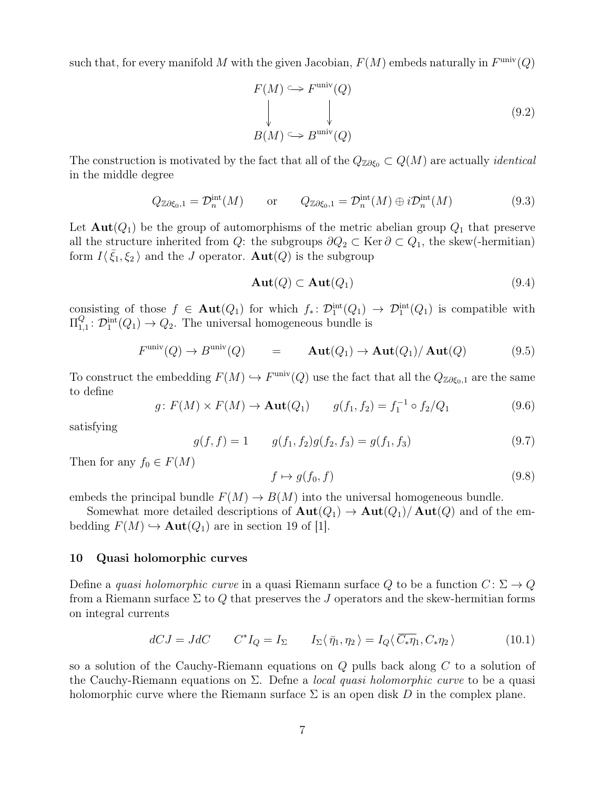such that, for every manifold M with the given Jacobian,  $F(M)$  embeds naturally in  $F^{\text{univ}}(Q)$ 

$$
F(M) \hookrightarrow F^{\text{univ}}(Q)
$$
  
\n
$$
\downarrow \qquad \qquad \downarrow
$$
  
\n
$$
B(M) \hookrightarrow B^{\text{univ}}(Q)
$$
  
\n(9.2)

The construction is motivated by the fact that all of the  $Q_{\mathbb{Z}\partial\xi_0} \subset Q(M)$  are actually *identical* in the middle degree

$$
Q_{\mathbb{Z}\partial\xi_0,1} = \mathcal{D}_n^{\text{int}}(M) \qquad \text{or} \qquad Q_{\mathbb{Z}\partial\xi_0,1} = \mathcal{D}_n^{\text{int}}(M) \oplus i\mathcal{D}_n^{\text{int}}(M) \tag{9.3}
$$

Let  $\text{Aut}(Q_1)$  be the group of automorphisms of the metric abelian group  $Q_1$  that preserve all the structure inherited from Q: the subgroups  $\partial Q_2 \subset \text{Ker } \partial \subset Q_1$ , the skew(-hermitian) form  $I(\bar{\xi}_1,\xi_2)$  and the J operator.  $\text{Aut}(Q)$  is the subgroup

$$
\mathbf{Aut}(Q) \subset \mathbf{Aut}(Q_1) \tag{9.4}
$$

consisting of those  $f \in \text{Aut}(Q_1)$  for which  $f_* \colon \mathcal{D}_1^{\text{int}}(Q_1) \to \mathcal{D}_1^{\text{int}}(Q_1)$  is compatible with  $\Pi^Q_{1.}$  $Q_{1,1}^Q: \mathcal{D}_1^{\text{int}}(Q_1) \to Q_2$ . The universal homogeneous bundle is

$$
F^{\text{univ}}(Q) \to B^{\text{univ}}(Q) \qquad = \qquad \mathbf{Aut}(Q_1) \to \mathbf{Aut}(Q_1) / \mathbf{Aut}(Q) \tag{9.5}
$$

To construct the embedding  $F(M) \hookrightarrow F^{\text{univ}}(Q)$  use the fact that all the  $Q_{\mathbb{Z}\partial \xi_0,1}$  are the same to define

$$
g \colon F(M) \times F(M) \to \text{Aut}(Q_1) \qquad g(f_1, f_2) = f_1^{-1} \circ f_2/Q_1 \tag{9.6}
$$

satisfying

$$
g(f, f) = 1 \qquad g(f_1, f_2)g(f_2, f_3) = g(f_1, f_3) \tag{9.7}
$$

Then for any  $f_0 \in F(M)$ 

$$
f \mapsto g(f_0, f) \tag{9.8}
$$

embeds the principal bundle  $F(M) \to B(M)$  into the universal homogeneous bundle.

Somewhat more detailed descriptions of  $\text{Aut}(Q_1) \to \text{Aut}(Q_1)/\text{Aut}(Q)$  and of the embedding  $F(M) \hookrightarrow \text{Aut}(Q_1)$  are in section 19 of [1].

# 10 Quasi holomorphic curves

Define a quasi holomorphic curve in a quasi Riemann surface Q to be a function  $C: \Sigma \to Q$ from a Riemann surface  $\Sigma$  to  $Q$  that preserves the J operators and the skew-hermitian forms on integral currents

$$
dCJ = JdC \t C^*I_Q = I_{\Sigma} \t I_{\Sigma}\langle \bar{\eta}_1, \eta_2 \rangle = I_Q \langle \bar{C}_*\eta_1, C_*\eta_2 \rangle \t (10.1)
$$

so a solution of the Cauchy-Riemann equations on Q pulls back along C to a solution of the Cauchy-Riemann equations on  $\Sigma$ . Define a *local quasi holomorphic curve* to be a quasi holomorphic curve where the Riemann surface  $\Sigma$  is an open disk D in the complex plane.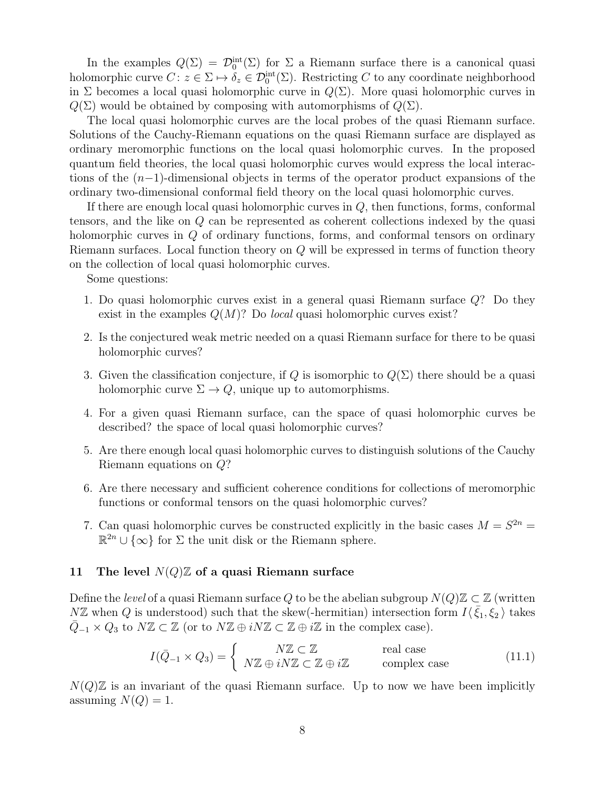In the examples  $Q(\Sigma) = \mathcal{D}_0^{\text{int}}(\Sigma)$  for  $\Sigma$  a Riemann surface there is a canonical quasi holomorphic curve  $C: z \in \Sigma \mapsto \delta_z \in \mathcal{D}_0^{\text{int}}(\Sigma)$ . Restricting C to any coordinate neighborhood in  $\Sigma$  becomes a local quasi holomorphic curve in  $Q(\Sigma)$ . More quasi holomorphic curves in  $Q(\Sigma)$  would be obtained by composing with automorphisms of  $Q(\Sigma)$ .

The local quasi holomorphic curves are the local probes of the quasi Riemann surface. Solutions of the Cauchy-Riemann equations on the quasi Riemann surface are displayed as ordinary meromorphic functions on the local quasi holomorphic curves. In the proposed quantum field theories, the local quasi holomorphic curves would express the local interactions of the (n−1)-dimensional objects in terms of the operator product expansions of the ordinary two-dimensional conformal field theory on the local quasi holomorphic curves.

If there are enough local quasi holomorphic curves in  $Q$ , then functions, forms, conformal tensors, and the like on Q can be represented as coherent collections indexed by the quasi holomorphic curves in Q of ordinary functions, forms, and conformal tensors on ordinary Riemann surfaces. Local function theory on Q will be expressed in terms of function theory on the collection of local quasi holomorphic curves.

Some questions:

- 1. Do quasi holomorphic curves exist in a general quasi Riemann surface Q? Do they exist in the examples  $Q(M)$ ? Do *local* quasi holomorphic curves exist?
- 2. Is the conjectured weak metric needed on a quasi Riemann surface for there to be quasi holomorphic curves?
- 3. Given the classification conjecture, if Q is isomorphic to  $Q(\Sigma)$  there should be a quasi holomorphic curve  $\Sigma \to Q$ , unique up to automorphisms.
- 4. For a given quasi Riemann surface, can the space of quasi holomorphic curves be described? the space of local quasi holomorphic curves?
- 5. Are there enough local quasi holomorphic curves to distinguish solutions of the Cauchy Riemann equations on Q?
- 6. Are there necessary and sufficient coherence conditions for collections of meromorphic functions or conformal tensors on the quasi holomorphic curves?
- 7. Can quasi holomorphic curves be constructed explicitly in the basic cases  $M = S^{2n} =$  $\mathbb{R}^{2n} \cup \{\infty\}$  for  $\Sigma$  the unit disk or the Riemann sphere.

# 11 The level  $N(Q)\mathbb{Z}$  of a quasi Riemann surface

Define the level of a quasi Riemann surface Q to be the abelian subgroup  $N(Q)\mathbb{Z} \subset \mathbb{Z}$  (written  $N\mathbb{Z}$  when Q is understood) such that the skew(-hermitian) intersection form  $I\langle \bar{\xi}_1,\xi_2\rangle$  takes  $\overline{Q}_{-1} \times Q_3$  to  $N\mathbb{Z} \subset \mathbb{Z}$  (or to  $N\mathbb{Z} \oplus i\mathbb{Z} \subset \mathbb{Z} \oplus i\mathbb{Z}$  in the complex case).

$$
I(\bar{Q}_{-1} \times Q_3) = \begin{cases} N\mathbb{Z} \subset \mathbb{Z} & \text{real case} \\ N\mathbb{Z} \oplus iN\mathbb{Z} \subset \mathbb{Z} \oplus i\mathbb{Z} & \text{complex case} \end{cases}
$$
(11.1)

 $N(Q)\mathbb{Z}$  is an invariant of the quasi Riemann surface. Up to now we have been implicitly assuming  $N(Q) = 1$ .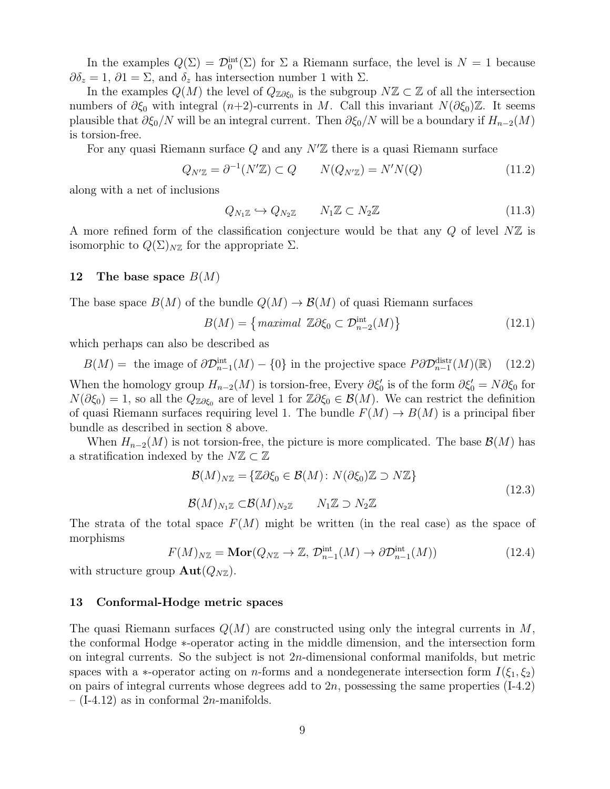In the examples  $Q(\Sigma) = \mathcal{D}_0^{\text{int}}(\Sigma)$  for  $\Sigma$  a Riemann surface, the level is  $N = 1$  because  $\partial \delta_z = 1, \partial \mathfrak{1} = \Sigma$ , and  $\delta_z$  has intersection number 1 with  $\Sigma$ .

In the examples  $Q(M)$  the level of  $Q_{\mathbb{Z}\partial\xi_0}$  is the subgroup  $N\mathbb{Z}\subset\mathbb{Z}$  of all the intersection numbers of  $\partial \xi_0$  with integral  $(n+2)$ -currents in M. Call this invariant  $N(\partial \xi_0)\mathbb{Z}$ . It seems plausible that  $\partial \xi_0/N$  will be an integral current. Then  $\partial \xi_0/N$  will be a boundary if  $H_{n-2}(M)$ is torsion-free.

For any quasi Riemann surface  $Q$  and any  $N<sup>2</sup>$  there is a quasi Riemann surface

$$
Q_{N'\mathbb{Z}} = \partial^{-1}(N'\mathbb{Z}) \subset Q \qquad N(Q_{N'\mathbb{Z}}) = N'N(Q) \tag{11.2}
$$

along with a net of inclusions

$$
Q_{N_1\mathbb{Z}} \hookrightarrow Q_{N_2\mathbb{Z}} \qquad N_1\mathbb{Z} \subset N_2\mathbb{Z} \tag{11.3}
$$

A more refined form of the classification conjecture would be that any  $Q$  of level  $N\mathbb{Z}$  is isomorphic to  $Q(\Sigma)_{N\mathbb{Z}}$  for the appropriate  $\Sigma$ .

# 12 The base space  $B(M)$

The base space  $B(M)$  of the bundle  $Q(M) \to B(M)$  of quasi Riemann surfaces

$$
B(M) = \left\{ \text{maximal } \mathbb{Z} \partial \xi_0 \subset \mathcal{D}_{n-2}^{\text{int}}(M) \right\} \tag{12.1}
$$

which perhaps can also be described as

 $B(M) =$  the image of  $\partial \mathcal{D}_{n-1}^{\text{int}}(M) - \{0\}$  in the projective space  $P \partial \mathcal{D}_{n-1}^{\text{distr}}(M)(\mathbb{R})$  (12.2)

When the homology group  $H_{n-2}(M)$  is torsion-free, Every  $\partial \xi_0'$  is of the form  $\partial \xi_0' = N \partial \xi_0$  for  $N(\partial \xi_0) = 1$ , so all the  $Q_{\mathbb{Z}\partial \xi_0}$  are of level 1 for  $\mathbb{Z}\partial \xi_0 \in \mathcal{B}(M)$ . We can restrict the definition of quasi Riemann surfaces requiring level 1. The bundle  $F(M) \to B(M)$  is a principal fiber bundle as described in section 8 above.

When  $H_{n-2}(M)$  is not torsion-free, the picture is more complicated. The base  $\mathcal{B}(M)$  has a stratification indexed by the  $N\mathbb{Z} \subset \mathbb{Z}$ 

$$
\mathcal{B}(M)_{N\mathbb{Z}} = \{ \mathbb{Z}\partial \xi_0 \in \mathcal{B}(M) : N(\partial \xi_0) \mathbb{Z} \supset N\mathbb{Z} \}
$$
  
\n
$$
\mathcal{B}(M)_{N_1\mathbb{Z}} \subset \mathcal{B}(M)_{N_2\mathbb{Z}} \qquad N_1\mathbb{Z} \supset N_2\mathbb{Z}
$$
\n(12.3)

The strata of the total space  $F(M)$  might be written (in the real case) as the space of morphisms

$$
F(M)_{N\mathbb{Z}} = \mathbf{Mor}(Q_{N\mathbb{Z}} \to \mathbb{Z}, \mathcal{D}_{n-1}^{\text{int}}(M) \to \partial \mathcal{D}_{n-1}^{\text{int}}(M))
$$
(12.4)

with structure group  $\text{Aut}(Q_{N\mathbb{Z}})$ .

#### 13 Conformal-Hodge metric spaces

The quasi Riemann surfaces  $Q(M)$  are constructed using only the integral currents in M, the conformal Hodge ∗-operator acting in the middle dimension, and the intersection form on integral currents. So the subject is not 2n-dimensional conformal manifolds, but metric spaces with a ∗-operator acting on *n*-forms and a nondegenerate intersection form  $I(\xi_1, \xi_2)$ on pairs of integral currents whose degrees add to  $2n$ , possessing the same properties  $(I-4.2)$  $-$  (I-4.12) as in conformal 2*n*-manifolds.